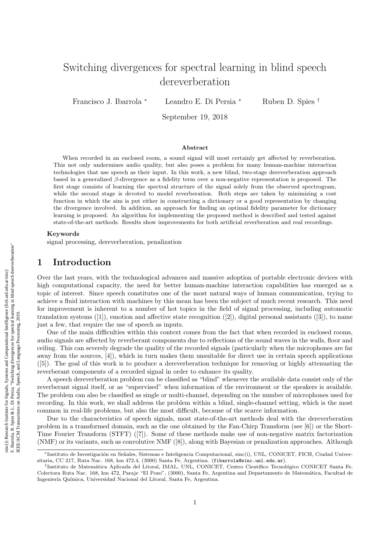# Switching divergences for spectral learning in blind speech dereverberation

Francisco J. Ibarrola <sup>∗</sup> Leandro E. Di Persia <sup>∗</sup> Ruben D. Spies †

September 19, 2018

#### Abstract

When recorded in an enclosed room, a sound signal will most certainly get affected by reverberation. This not only undermines audio quality, but also poses a problem for many human-machine interaction technologies that use speech as their input. In this work, a new blind, two-stage dereverberation approach based in a generalized  $\beta$ -divergence as a fidelity term over a non-negative representation is proposed. The first stage consists of learning the spectral structure of the signal solely from the observed spectrogram, while the second stage is devoted to model reverberation. Both steps are taken by minimizing a cost function in which the aim is put either in constructing a dictionary or a good representation by changing the divergence involved. In addition, an approach for finding an optimal fidelity parameter for dictionary learning is proposed. An algorithm for implementing the proposed method is described and tested against state-of-the-art methods. Results show improvements for both artificial reverberation and real recordings.

#### Keywords

signal processing, dereverberation, penalization

### 1 Introduction

Over the last years, with the technological advances and massive adoption of portable electronic devices with high computational capacity, the need for better human-machine interaction capabilities has emerged as a topic of interest. Since speech constitutes one of the most natural ways of human communication, trying to achieve a fluid interaction with machines by this mean has been the subject of much recent research. This need for improvement is inherent to a number of hot topics in the field of signal processing, including automatic translation systems  $([1])$ , emotion and affective state recognition  $([2])$ , digital personal assistants  $([3])$ , to name just a few, that require the use of speech as inputs.

One of the main difficulties within this context comes from the fact that when recorded in enclosed rooms, audio signals are affected by reverberant components due to reflections of the sound waves in the walls, floor and ceiling. This can severely degrade the quality of the recorded signals (particularly when the microphones are far away from the sources, [4]), which in turn makes them unsuitable for direct use in certain speech applications ([5]). The goal of this work is to produce a dereverberation technique for removing or highly attenuating the reverberant components of a recorded signal in order to enhance its quality.

A speech dereverberation problem can be classified as "blind" whenever the available data consist only of the reverberant signal itself, or as "supervised" when information of the environment or the speakers is available. The problem can also be classified as single or multi-channel, depending on the number of microphones used for recording. In this work, we shall address the problem within a blind, single-channel setting, which is the most common in real-life problems, but also the most difficult, because of the scarce information.

Due to the characteristics of speech signals, most state-of-the-art methods deal with the dereverberation problem in a transformed domain, such as the one obtained by the Fan-Chirp Transform (see [6]) or the Short-Time Fourier Transform (STFT) ([7]). Some of these methods make use of non-negative matrix factorization (NMF) or its variants, such as convolutive NMF ([8]), along with Bayesian or penalization approaches. Although

<sup>\*</sup>Instituto de Investigación en Señales, Sistemas e Inteligencia Computacional, sinc(i), UNL, CONICET, FICH, Ciudad Universitaria, CC 217, Ruta Nac. 168, km 472.4, (3000) Santa Fe, Argentina. (fibarrola@sinc.unl.edu.ar).

<sup>&</sup>lt;sup>†</sup>Instituto de Matemática Aplicada del Litoral, IMAL, UNL, CONICET, Centro Científico Tecnológico CONICET Santa Fe, Colectora Ruta Nac. 168, km 472, Paraje "El Pozo", (3000), Santa Fe, Argentina and Departamento de Matemática, Facultad de Ingeniería Química, Universidad Nacional del Litoral, Santa Fe, Argentina.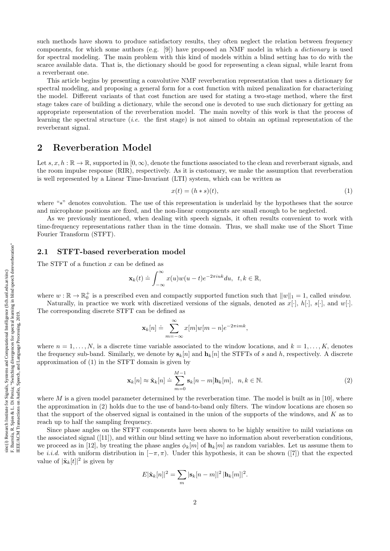reverberant signal.

such methods have shown to produce satisfactory results, they often neglect the relation between frequency components, for which some authors (e.g. [9]) have proposed an NMF model in which a dictionary is used for spectral modeling. The main problem with this kind of models within a blind setting has to do with the scarce available data. That is, the dictionary should be good for representing a clean signal, while learnt from a reverberant one.

This article begins by presenting a convolutive NMF reverberation representation that uses a dictionary for spectral modeling, and proposing a general form for a cost function with mixed penalization for characterizing the model. Different variants of that cost function are used for stating a two-stage method, where the first stage takes care of building a dictionary, while the second one is devoted to use such dictionary for getting an appropriate representation of the reverberation model. The main novelty of this work is that the process of learning the spectral structure (*i.e.* the first stage) is not aimed to obtain an optimal representation of the

## 2 Reverberation Model

Let  $s, x, h : \mathbb{R} \to \mathbb{R}$ , supported in  $[0, \infty)$ , denote the functions associated to the clean and reverberant signals, and the room impulse response (RIR), respectively. As it is customary, we make the assumption that reverberation is well represented by a Linear Time-Invariant (LTI) system, which can be written as

$$
x(t) = (h * s)(t),\tag{1}
$$

where "∗" denotes convolution. The use of this representation is underlaid by the hypotheses that the source and microphone positions are fixed, and the non-linear components are small enough to be neglected.

As we previously mentioned, when dealing with speech signals, it often results convenient to work with time-frequency representations rather than in the time domain. Thus, we shall make use of the Short Time Fourier Transform (STFT).

### 2.1 STFT-based reverberation model

The STFT of a function x can be defined as

$$
\mathbf{x}_k(t) \doteq \int_{-\infty}^{\infty} x(u)w(u-t)e^{-2\pi iuk}du, \ \ t, k \in \mathbb{R},
$$

where  $w : \mathbb{R} \to \mathbb{R}_0^+$  is a prescribed even and compactly supported function such that  $||w||_1 = 1$ , called *window*.

Naturally, in practice we work with discretized versions of the signals, denoted as  $x[\cdot], h[\cdot], s[\cdot]$ , and  $w[\cdot]$ . The corresponding discrete STFT can be defined as

$$
\mathbf{x}_k[n] \doteq \sum_{m=-\infty}^{\infty} x[m]w[m-n]e^{-2\pi imk},
$$

where  $n = 1, \ldots, N$ , is a discrete time variable associated to the window locations, and  $k = 1, \ldots, K$ , denotes the frequency sub-band. Similarly, we denote by  $s_k[n]$  and  $h_k[n]$  the STFTs of s and h, respectively. A discrete approximation of (1) in the STFT domain is given by

$$
\mathbf{x}_{k}[n] \approx \tilde{\mathbf{x}}_{k}[n] \doteq \sum_{m=0}^{M-1} \mathbf{s}_{k}[n-m] \mathbf{h}_{k}[m], \ \ n, k \in \mathbb{N}.
$$

where M is a given model parameter determined by the reverberation time. The model is built as in [10], where the approximation in (2) holds due to the use of band-to-band only filters. The window locations are chosen so that the support of the observed signal is contained in the union of the supports of the windows, and K as to reach up to half the sampling frequency.

Since phase angles on the STFT components have been shown to be highly sensitive to mild variations on the associated signal ([11]), and within our blind setting we have no information about reverberation conditions, we proceed as in [12], by treating the phase angles  $\phi_k[m]$  of  $\mathbf{h}_k[m]$  as random variables. Let us assume them to be *i.i.d.* with uniform distribution in  $[-\pi, \pi)$ . Under this hypothesis, it can be shown ([7]) that the expected value of  $|\tilde{\mathbf{x}}_k[t]|^2$  is given by

$$
E|\tilde{\mathbf{x}}_k[n]|^2 = \sum_m |\mathbf{s}_k[n-m]|^2 |\mathbf{h}_k[m]|^2.
$$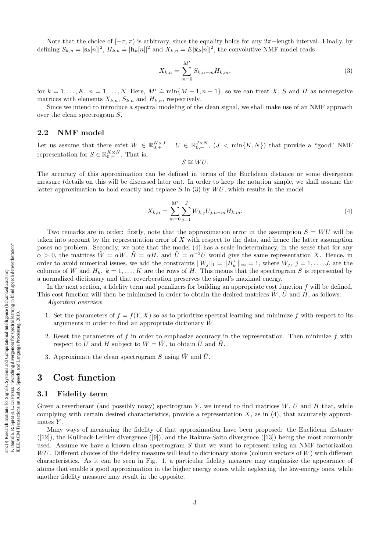Note that the choice of  $[-\pi, \pi)$  is arbitrary, since the equality holds for any  $2\pi$ -length interval. Finally, by defining  $S_{k,n} \doteq |\mathbf{s}_k[n]|^2$ ,  $H_{k,n} \doteq |\mathbf{h}_k[n]|^2$  and  $X_{k,n} \doteq E|\tilde{\mathbf{x}}_k[n]|^2$ , the convolutive NMF model reads

$$
X_{k,n} = \sum_{m=0}^{M'} S_{k,n-m} H_{k,m},
$$
\n(3)

for  $k = 1, ..., K$ ,  $n = 1, ..., N$ . Here,  $M' \doteq \min\{M - 1, n - 1\}$ , so we can treat X, S and H as nonnegative matrices with elements  $X_{k,n}$ ,  $S_{k,n}$  and  $H_{k,n}$ , respectively.

Since we intend to introduce a spectral modeling of the clean signal, we shall make use of an NMF approach over the clean spectrogram S.

### 2.2 NMF model

Let us assume that there exist  $W \in \mathbb{R}_{0,+}^{K \times J}$ ,  $U \in \mathbb{R}_{0,+}^{J \times N}$ ,  $(J < \min\{K, N\})$  that provide a "good" NMF representation for  $S \in \mathbb{R}_{0,+}^{K \times N}$ . That is,

 $S \cong WU$ .

The accuracy of this approximation can be defined in terms of the Euclidean distance or some divergence measure (details on this will be discussed later on). In order to keep the notation simple, we shall assume the latter approximation to hold exactly and replace  $S$  in (3) by  $WU$ , which results in the model

$$
X_{k,n} = \sum_{m=0}^{M'} \sum_{j=1}^{J} W_{k,j} U_{j,n-m} H_{k,m}.
$$
\n(4)

Two remarks are in order: firstly, note that the approximation error in the assumption  $S = WU$  will be taken into account by the representation error of  $X$  with respect to the data, and hence the latter assumption poses no problem. Secondly, we note that the model (4) has a scale indeterminacy, in the sense that for any  $\alpha > 0$ , the matrices  $\tilde{W} = \alpha W$ ,  $\tilde{H} = \alpha H$ , and  $\tilde{U} = \alpha^{-2} U$  would give the same representation X. Hence, in order to avoid numerical issues, we add the constraints  $||W_j||_1 = ||H_k^T||_{\infty} = 1$ , where  $W_j$ ,  $j = 1, ..., J$ , are the columns of W and  $H_k$ ,  $k = 1, ..., K$  are the rows of H. This means that the spectrogram S is represented by a normalized dictionary and that reverberation preserves the signal's maximal energy.

In the next section, a fidelity term and penalizers for building an appropriate cost function  $f$  will be defined. This cost function will then be minimized in order to obtain the desired matrices  $W, U$  and  $H$ , as follows:

- 1. Set the parameters of  $f = f(Y, X)$  so as to prioritize spectral learning and minimize f with respect to its arguments in order to find an appropriate dictionary  $W$ .
- 2. Reset the parameters of f in order to emphasize accuracy in the representation. Then minimize f with respect to U and H subject to  $W = W$ , to obtain U and H.
- 3. Approximate the clean spectrogram S using  $\hat{W}$  and  $\hat{U}$ .

### 3 Cost function

Algorithm overview

### 3.1 Fidelity term

Given a reverberant (and possibly noisy) spectrogram Y, we intend to find matrices  $W, U$  and  $H$  that, while complying with certain desired characteristics, provide a representation  $X$ , as in (4), that accurately approximates  $Y$ .

Many ways of measuring the fidelity of that approximation have been proposed: the Euclidean distance ([12]), the Kullback-Leibler divergence ([9]), and the Itakura-Saito divergence ([13]) being the most commonly used. Assume we have a known clean spectrogram S that we want to represent using an NMF factorization  $WU$ . Different choices of the fidelity measure will lead to dictionary atoms (column vectors of  $W$ ) with different characteristics. As it can be seen in Fig. 1, a particular fidelity measure may emphasize the appearance of atoms that enable a good approximation in the higher energy zones while neglecting the low-energy ones, while another fidelity measure may result in the opposite.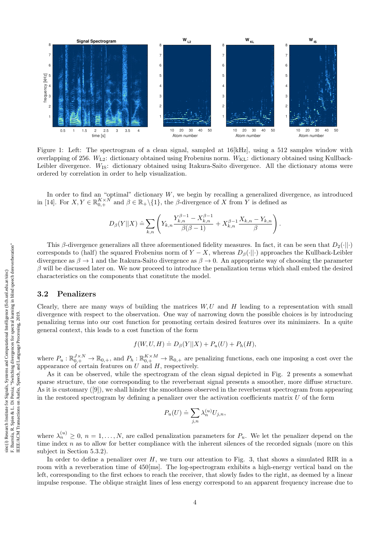

Figure 1: Left: The spectrogram of a clean signal, sampled at 16[kHz], using a 512 samples window with overlapping of 256.  $W_{L2}$ : dictionary obtained using Frobenius norm.  $W_{KL}$ : dictionary obtained using Kullback-Leibler divergence.  $W_{\text{IS}}$ : dictionary obtained using Itakura-Saito divergence. All the dictionary atoms were ordered by correlation in order to help visualization.

In order to find an "optimal" dictionary W, we begin by recalling a generalized divergence, as introduced in [14]. For  $X, Y \in \mathbb{R}_{0,+}^{K \times N}$  and  $\beta \in \mathbb{R}_+ \setminus \{1\}$ , the  $\beta$ -divergence of X from Y is defined as

$$
D_{\beta}(Y||X) \doteq \sum_{k,n} \left( Y_{k,n} \frac{Y_{k,n}^{\beta-1} - X_{k,n}^{\beta-1}}{\beta(\beta-1)} + X_{k,n}^{\beta-1} \frac{X_{k,n} - Y_{k,n}}{\beta} \right).
$$

This β-divergence generalizes all three aforementioned fidelity measures. In fact, it can be seen that  $D_2(\cdot||\cdot)$ corresponds to (half) the squared Frobenius norm of  $Y - X$ , whereas  $D_\beta(\cdot||\cdot)$  approaches the Kullback-Leibler divergence as  $\beta \to 1$  and the Itakura-Saito divergence as  $\beta \to 0$ . An appropriate way of choosing the parameter  $\beta$  will be discussed later on. We now proceed to introduce the penalization terms which shall embed the desired characteristics on the components that constitute the model.

### 3.2 Penalizers

Clearly, there are many ways of building the matrices  $W, U$  and  $H$  leading to a representation with small divergence with respect to the observation. One way of narrowing down the possible choices is by introducing penalizing terms into our cost function for promoting certain desired features over its minimizers. In a quite general context, this leads to a cost function of the form

$$
f(W, U, H) \doteq D_{\beta}(Y||X) + P_u(U) + P_h(H),
$$

where  $P_u: \mathbb{R}_{0,+}^{J \times N} \to \mathbb{R}_{0,+}$ , and  $P_h: \mathbb{R}_{0,+}^{K \times M} \to \mathbb{R}_{0,+}$  are penalizing functions, each one imposing a cost over the appearance of certain features on  $U$  and  $H$ , respectively.

As it can be observed, while the spectrogram of the clean signal depicted in Fig. 2 presents a somewhat sparse structure, the one corresponding to the reverberant signal presents a smoother, more diffuse structure. As it is customary ([9]), we shall hinder the smoothness observed in the reverberant spectrogram from appearing in the restored spectrogram by defining a penalizer over the activation coefficients matrix  $U$  of the form

$$
P_u(U) \doteq \sum_{j,n} \lambda_n^{(u)} U_{j,n},
$$

where  $\lambda_n^{(u)} \geq 0$ ,  $n = 1, \ldots, N$ , are called penalization parameters for  $P_u$ . We let the penalizer depend on the time index  $n$  as to allow for better compliance with the inherent silences of the recorded signals (more on this subject in Section 5.3.2).

In order to define a penalizer over  $H$ , we turn our attention to Fig. 3, that shows a simulated RIR in a room with a reverberation time of 450[ms]. The log-spectrogram exhibits a high-energy vertical band on the left, corresponding to the first echoes to reach the receiver, that slowly fades to the right, as deemed by a linear impulse response. The oblique straight lines of less energy correspond to an apparent frequency increase due to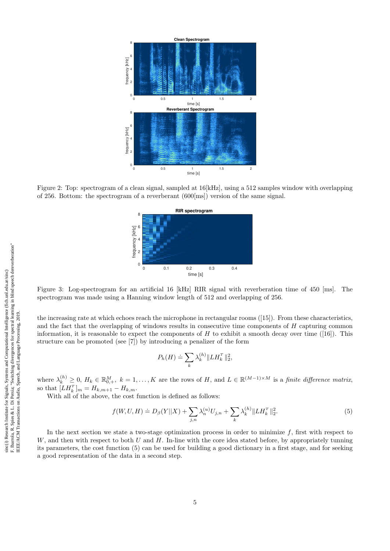

Figure 2: Top: spectrogram of a clean signal, sampled at 16[kHz], using a 512 samples window with overlapping of 256. Bottom: the spectrogram of a reverberant (600[ms]) version of the same signal.



Figure 3: Log-spectrogram for an artificial 16 [kHz] RIR signal with reverberation time of 450 [ms]. The spectrogram was made using a Hanning window length of 512 and overlapping of 256.

the increasing rate at which echoes reach the microphone in rectangular rooms ([15]). From these characteristics, and the fact that the overlapping of windows results in consecutive time components of  $H$  capturing common information, it is reasonable to expect the components of H to exhibit a smooth decay over time ([16]). This structure can be promoted (see [7]) by introducing a penalizer of the form

$$
P_h(H) \doteq \sum_k \lambda_k^{(h)} \| LH_k^T\|_2^2,
$$

where  $\lambda_k^{(h)} \geq 0$ ,  $H_k \in \mathbb{R}_{0,+}^M$ ,  $k = 1,\ldots,K$  are the rows of H, and  $L \in \mathbb{R}^{(M-1)\times M}$  is a finite difference matrix, so that  $[LH_k^T]_m = H_{k,m+1} - H_{k,m}$ .

With all of the above, the cost function is defined as follows:

$$
f(W, U, H) \doteq D_{\beta}(Y||X) + \sum_{j,n} \lambda_n^{(u)} U_{j,n} + \sum_k \lambda_k^{(h)} \|L H_k^T \|_2^2.
$$
 (5)

In the next section we state a two-stage optimization process in order to minimize  $f$ , first with respect to  $W$ , and then with respect to both  $U$  and  $H$ . In-line with the core idea stated before, by appropriately tunning its parameters, the cost function (5) can be used for building a good dictionary in a first stage, and for seeking a good representation of the data in a second step.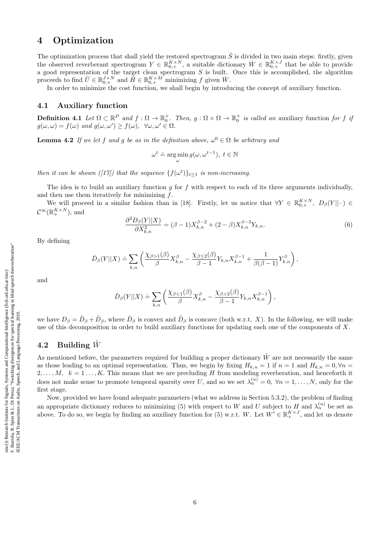### 4 Optimization

The optimization process that shall yield the restored spectrogram  $\hat{S}$  is divided in two main steps: firstly, given the observed reverberant spectrogram  $Y \in \mathbb{R}_{0,+}^{K \times N}$ , a suitable dictionary  $\hat{W} \in \mathbb{R}_{0,+}^{K \times J}$  that be able to provide a good representation of the target clean spectrogram  $S$  is built. Once this is accomplished, the algorithm proceeds to find  $\hat{U} \in \mathbb{R}_{0,+}^{J \times N}$  and  $\tilde{H} \in \mathbb{R}_{0,+}^{K \times M}$  minimizing f given  $\hat{W}$ .

In order to minimize the cost function, we shall begin by introducing the concept of auxiliary function.

### 4.1 Auxiliary function

**Definition 4.1** Let  $\Omega \subset \mathbb{R}^P$  and  $f: \Omega \to \mathbb{R}_0^+$ . Then,  $g: \Omega \times \Omega \to \mathbb{R}_0^+$  is called an auxiliary function for f is  $g(\omega,\omega) = f(\omega)$  and  $g(\omega,\omega') \geq f(\omega)$ ,  $\forall \omega, \omega' \in \Omega$ .

**Lemma 4.2** If we let f and g be as in the definition above,  $\omega^0 \in \Omega$  be arbitrary and

$$
\omega^t \doteq \argmin_{\omega} g(\omega, \omega^{t-1}), \ t \in \mathbb{N}
$$

then it can be shown ([17]) that the sequence  $\{f(\omega^t)\}_{t\geq 1}$  is non-increasing.

The idea is to build an auxiliary function  $g$  for  $f$  with respect to each of its three arguments individually, and then use them iteratively for minimizing  $f$ .

We will proceed in a similar fashion than in [18]. Firstly, let us notice that  $\forall Y \in \mathbb{R}_{0,+}^{K \times N}$ ,  $D_{\beta}(Y || \cdot) \in$  $\mathcal{C}^{\infty}(\mathbb{R}_{+}^{K\times N}),$  and

$$
\frac{\partial^2 D_{\beta}(Y||X)}{\partial X_{k,n}^2} = (\beta - 1)X_{k,n}^{\beta - 2} + (2 - \beta)X_{k,n}^{\beta - 3}Y_{k,n}.
$$
\n(6)

By defining

$$
\check{D}_{\beta}(Y||X) \doteq \sum_{k,n} \left( \frac{\chi_{\beta>1}(\beta)}{\beta} X^{\beta}_{k,n} - \frac{\chi_{\beta \leq 2}(\beta)}{\beta-1} Y_{k,n} X^{\beta-1}_{k,n} + \frac{1}{\beta(\beta-1)} Y^{\beta}_{k,n} \right),
$$

and

$$
\hat{D}_{\beta}(Y||X) \doteq \sum_{k,n} \left( \frac{\chi_{\beta<1}(\beta)}{\beta} X_{k,n}^{\beta} - \frac{\chi_{\beta>2}(\beta)}{\beta-1} Y_{k,n} X_{k,n}^{\beta-1} \right),
$$

we have  $D_\beta = \check{D}_\beta + \hat{D}_\beta$ , where  $\check{D}_\beta$  is convex and  $\hat{D}_\beta$  is concave (both w.r.t. X). In the following, we will make use of this decomposition in order to build auxiliary functions for updating each one of the components of X.

### 4.2 Building  $\hat{W}$

As mentioned before, the parameters required for building a proper dictionary  $\hat{W}$  are not necessarily the same as those leading to an optimal representation. Thus, we begin by fixing  $H_{k,n} = 1$  if  $n = 1$  and  $H_{k,n} = 0, \forall n = 1$  $2, \ldots, M, k = 1 \ldots, K$ . This means that we are precluding H from modeling reverberation, and henceforth it does not make sense to promote temporal sparsity over U, and so we set  $\lambda_n^{(u)} = 0$ ,  $\forall n = 1, \ldots, N$ , only for the first stage.

Now, provided we have found adequate parameters (what we address in Section 5.3.2), the problem of finding an appropriate dictionary reduces to minimizing (5) with respect to W and U subject to H and  $\lambda_n^{(u)}$  be set as above. To do so, we begin by finding an auxiliary function for (5) w.r.t. W. Let  $W' \in \mathbb{R}^{K \times J}_+$ , and let us denote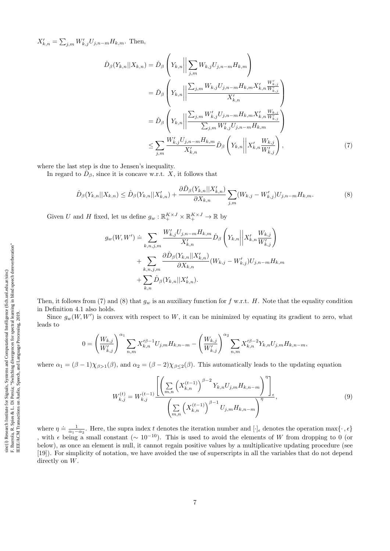$X'_{k,n} = \sum_{j,m} W'_{k,j} U_{j,n-m} H_{k,m}$ . Then,

$$
\tilde{D}_{\beta}(Y_{k,n}||X_{k,n}) = \tilde{D}_{\beta}\left(Y_{k,n} \middle\| \sum_{j,m} W_{k,j} U_{j,n-m} H_{k,m}\right)
$$
\n
$$
= \tilde{D}_{\beta}\left(Y_{k,n} \middle\| \frac{\sum_{j,m} W_{k,j} U_{j,n-m} H_{k,m} X'_{k,n} \frac{W'_{k,j}}{W'_{k,j}}}{X'_{k,n}}\right)
$$
\n
$$
= \tilde{D}_{\beta}\left(Y_{k,n} \middle\| \frac{\sum_{j,m} W'_{k,j} U_{j,n-m} H_{k,m} X'_{k,n} \frac{W_{k,j}}{W'_{k,j}}}{\sum_{j,m} W'_{k,j} U_{j,n-m} H_{k,m}}\right)
$$
\n
$$
\leq \sum_{j,m} \frac{W'_{k,j} U_{j,n-m} H_{k,m}}{X'_{k,n}} \tilde{D}_{\beta}\left(Y_{k,n} \middle\| X'_{k,n} \frac{W_{k,j}}{W'_{k,j}}\right),\tag{7}
$$

where the last step is due to Jensen's inequality.

In regard to  $\hat{D}_{\beta}$ , since it is concave w.r.t. X, it follows that

$$
\hat{D}_{\beta}(Y_{k,n}||X_{k,n}) \leq \hat{D}_{\beta}(Y_{k,n}||X'_{k,n}) + \frac{\partial \hat{D}_{\beta}(Y_{k,n}||X'_{k,n})}{\partial X_{k,n}} \sum_{j,m} (W_{k,j} - W'_{k,j}) U_{j,n-m} H_{k,m}.
$$
\n(8)

Given U and H fixed, let us define  $g_w : \mathbb{R}_+^{K \times J} \times \mathbb{R}_+^{K \times J} \to \mathbb{R}$  by

$$
g_w(W, W') \doteq \sum_{k, n, j, m} \frac{W'_{k,j} U_{j,n-m} H_{k,m}}{X'_{k,n}} \tilde{D}_{\beta} \left(Y_{k,n} \middle\| X'_{k,n} \frac{W_{k,j}}{W'_{k,j}}\right) + \sum_{k, n, j, m} \frac{\partial \hat{D}_{\beta}(Y_{k,n} || X'_{k,n})}{\partial X_{k,n}} (W_{k,j} - W'_{k,j}) U_{j,n-m} H_{k,m} + \sum_{k,n} \hat{D}_{\beta}(Y_{k,n} || X'_{k,n}).
$$

Then, it follows from (7) and (8) that  $g_w$  is an auxiliary function for f w.r.t. H. Note that the equality condition in Definition 4.1 also holds.

Since  $g_w(W, W')$  is convex with respect to W, it can be minimized by equating its gradient to zero, what leads to

$$
0 = \left(\frac{W_{k,j}}{W'_{k,j}}\right)^{\alpha_1} \sum_{n,m} X'^{\beta-1}_{k,n} U_{j,m} H_{k,n-m} - \left(\frac{W_{k,j}}{W'_{k,j}}\right)^{\alpha_2} \sum_{n,m} X'^{\beta-2}_{k,n} Y_{k,n} U_{j,m} H_{k,n-m},
$$

where  $\alpha_1 = (\beta - 1)\chi_{\beta > 1}(\beta)$ , and  $\alpha_2 = (\beta - 2)\chi_{\beta \leq 2}(\beta)$ . This automatically leads to the updating equation

$$
W_{k,j}^{(t)} = W_{k,j}^{(t-1)} \frac{\left[ \left( \sum_{m,n} \left( X_{k,n}^{(t-1)} \right)^{\beta-2} Y_{k,n} U_{j,m} H_{k,n-m} \right)^{\eta} \right]_{\epsilon}}{\left( \sum_{m,n} \left( X_{k,n}^{(t-1)} \right)^{\beta-1} U_{j,m} H_{k,n-m} \right)^{\eta}}, \tag{9}
$$

where  $\eta \doteq \frac{1}{\alpha_1-\alpha_2}$ . Here, the supra index t denotes the iteration number and  $[\cdot]_\epsilon$  denotes the operation max $\{\cdot,\epsilon\}$ , with  $\epsilon$  being a small constant ( $\sim 10^{-10}$ ). This is used to avoid the elements of W from dropping to 0 (or below), as once an element is null, it cannot regain positive values by a multiplicative updating procedure (see [19]). For simplicity of notation, we have avoided the use of superscripts in all the variables that do not depend directly on W.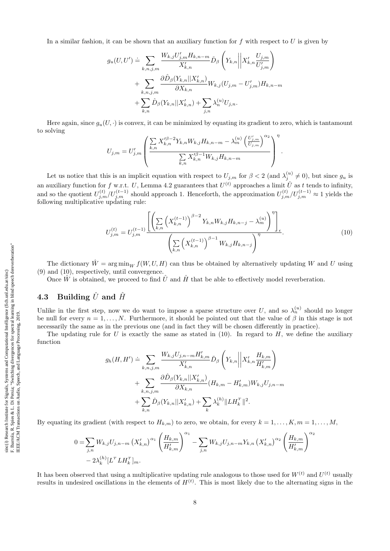In a similar fashion, it can be shown that an auxiliary function for  $f$  with respect to  $U$  is given by

$$
g_u(U, U') \doteq \sum_{k,n,j,m} \frac{W_{k,j} U'_{j,m} H_{k,n-m}}{X'_{k,n}} \tilde{D}_{\beta} \left(Y_{k,n} \middle\| X'_{k,n} \frac{U_{j,m}}{U'_{j,m}}\right) + \sum_{k,n,j,m} \frac{\partial \hat{D}_{\beta}(Y_{k,n} || X'_{k,n})}{\partial X_{k,n}} W_{k,j} (U_{j,m} - U'_{j,m}) H_{k,n-m} + \sum_{k,n} \hat{D}_{\beta}(Y_{k,n} || X'_{k,n}) + \sum_{j,n} \lambda_n^{(u)} U_{j,n}.
$$

Here again, since  $g_u(U, \cdot)$  is convex, it can be minimized by equating its gradient to zero, which is tantamount to solving

$$
U_{j,m} = U'_{j,m} \left( \frac{\sum_{k,n} X'^{\beta-2}_{k,n} Y_{k,n} W_{k,j} H_{k,n-m} - \lambda^{(u)}_m \left( \frac{U'_{j,m}}{U_{j,m}} \right)^{\alpha_2}}{\sum_{k,n} X'^{\beta-1}_{k,n} W_{k,j} H_{k,n-m}} \right)^{\eta}.
$$

Let us notice that this is an implicit equation with respect to  $U_{j,m}$  for  $\beta < 2$  (and  $\lambda_j^{(u)} \neq 0$ ), but since  $g_u$  is an auxiliary function for f w.r.t. U, Lemma 4.2 guarantees that  $U^{(t)}$  approaches a limit  $\hat{U}$  as t tends to infinity, and so the quotient  $U_{j,m}^{(t)}/U_{j,m}^{(t-1)}$  should approach 1. Henceforth, the approximation  $U_{j,m}^{(t)}/U_{j,m}^{(t-1)} \approx 1$  yields the following multiplicative updating rule:

$$
U_{j,m}^{(t)} = U_{j,m}^{(t-1)} \frac{\left[ \left( \sum_{k,n} \left( X_{k,n}^{(t-1)} \right)^{\beta-2} Y_{k,n} W_{k,j} H_{k,n-j} - \lambda_m^{(u)} \right)^{\eta} \right]_{\epsilon}}{\left( \sum_{k,n} \left( X_{k,n}^{(t-1)} \right)^{\beta-1} W_{k,j} H_{k,n-j} \right)^{\eta}}.
$$
\n(10)

The dictionary  $\hat{W} = \arg\min_W f(W, U, H)$  can thus be obtained by alternatively updating W and U using (9) and (10), respectively, until convergence.

Once  $\hat{W}$  is obtained, we proceed to find  $\hat{U}$  and  $\hat{H}$  that be able to effectively model reverberation.

### 4.3 Building  $\hat{U}$  and  $\hat{H}$

Unlike in the first step, now we do want to impose a sparse structure over U, and so  $\lambda_n^{(u)}$  should no longer be null for every  $n = 1, ..., N$ . Furthermore, it should be pointed out that the value of  $\beta$  in this stage is not necessarily the same as in the previous one (and in fact they will be chosen differently in practice).

The updating rule for U is exactly the same as stated in  $(10)$ . In regard to H, we define the auxiliary function

$$
g_h(H, H') \doteq \sum_{k,n,j,m} \frac{W_{k,j} U_{j,n-m} H'_{k,m}}{X'_{k,n}} \tilde{D}_{\beta} \left( Y_{k,n} \middle\| X'_{k,n} \frac{H_{k,m}}{H'_{k,m}} \right) + \sum_{k,n,j,m} \frac{\partial \hat{D}_{\beta} (Y_{k,n} || X'_{k,n})}{\partial X_{k,n}} (H_{k,m} - H'_{k,m}) W_{k,j} U_{j,n-m} + \sum_{k,n} \hat{D}_{\beta} (Y_{k,n} || X'_{k,n}) + \sum_{k} \lambda_k^{(h)} ||L H_k^T ||^2.
$$

By equating its gradient (with respect to  $H_{k,m}$ ) to zero, we obtain, for every  $k = 1, \ldots, K, m = 1, \ldots, M$ ,

$$
0 = \sum_{j,n} W_{k,j} U_{j,n-m} (X'_{k,n})^{\alpha_1} \left(\frac{H_{k,m}}{H'_{k,m}}\right)^{\alpha_1} - \sum_{j,n} W_{k,j} U_{j,n-m} Y_{k,n} (X'_{k,n})^{\alpha_2} \left(\frac{H_{k,m}}{H'_{k,m}}\right)^{\alpha_2}
$$
  
- 2 $\lambda_k^{(h)} [L^T L H_k^T]_m$ .

It has been observed that using a multiplicative updating rule analogous to those used for  $W^{(t)}$  and  $U^{(t)}$  usually results in undesired oscillations in the elements of  $H^{(t)}$ . This is most likely due to the alternating signs in the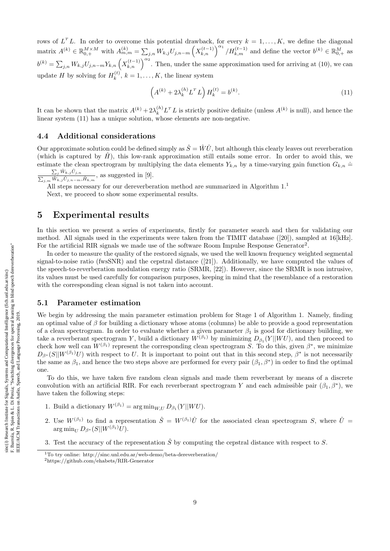rows of  $L^T L$ . In order to overcome this potential drawback, for every  $k = 1, ..., K$ , we define the diagonal  $\text{matrix } A^{(k)} \in \mathbb{R}_{0,+}^{M \times M} \text{ with } A_{m,m}^{(k)} = \sum_{j,n} W_{k,j} U_{j,n-m} \left( X_{k,n}^{(t-1)} \right)^{\alpha_1} / H_{k,m}^{(t-1)} \text{ and define the vector } b^{(k)} \in \mathbb{R}_{0,+}^{M} \text{ as }$  $b^{(k)} = \sum_{j,n} W_{k,j} U_{j,n-m} Y_{k,n} \left( X_{k,n}^{(t-1)} \right)^{\alpha_2}$ . Then, under the same approximation used for arriving at (10), we can update H by solving for  $H_k^{(t)}$  $k^{(k)}$ ,  $k = 1, \ldots, K$ , the linear system

$$
\left(A^{(k)} + 2\lambda_k^{(h)} L^T L\right) H_k^{(t)} = b^{(k)}.
$$
\n(11)

It can be shown that the matrix  $A^{(k)} + 2\lambda_k^{(h)}L^T L$  is strictly positive definite (unless  $A^{(k)}$  is null), and hence the linear system  $(11)$  has a unique solution, whose elements are non-negative.

### 4.4 Additional considerations

Our approximate solution could be defined simply as  $\hat{S} = \hat{W}\hat{U}$ , but although this clearly leaves out reverberation (which is captured by  $\hat{H}$ ), this low-rank approximation still entails some error. In order to avoid this, we estimate the clean spectrogram by multiplying the data elements  $Y_{k,n}$  by a time-varying gain function  $G_{k,n} \doteq$ 

 $\sum_j \hat{W}_{k,j} \hat{U}_{j,n}$  $\frac{\sum_j W_{k,j} \cup_{j,n}}{\sum_{j,m} \hat{W}_{k,j} \hat{U}_{j,n-m}, \hat{H}_{k,m}}$ , as suggested in [9].

All steps necessary for our dereverberation method are summarized in Algorithm  $1.1\,$ 

Next, we proceed to show some experimental results.

### 5 Experimental results

In this section we present a series of experiments, firstly for parameter search and then for validating our method. All signals used in the experiments were taken from the TIMIT database ([20]), sampled at 16[kHz]. For the artificial RIR signals we made use of the software Room Impulse Response Generator<sup>2</sup>.

In order to measure the quality of the restored signals, we used the well known frequency weighted segmental signal-to-noise ratio (fwsSNR) and the cepstral distance ([21]). Additionally, we have computed the values of the speech-to-reverberation modulation energy ratio (SRMR, [22]). However, since the SRMR is non intrusive, its values must be used carefully for comparison purposes, keeping in mind that the resemblance of a restoration with the corresponding clean signal is not taken into account.

#### 5.1 Parameter estimation

We begin by addressing the main parameter estimation problem for Stage 1 of Algorithm 1. Namely, finding an optimal value of  $\beta$  for building a dictionary whose atoms (columns) be able to provide a good representation of a clean spectrogram. In order to evaluate whether a given parameter  $\beta_1$  is good for dictionary building, we take a reverberant spectrogram Y, build a dictionary  $W^{(\beta_1)}$  by minimizing  $D_{\beta_1}(Y||WU)$ , and then proceed to check how well can  $W^{(\beta_1)}$  represent the corresponding clean spectrogram S. To do this, given  $\beta^*$ , we minimize  $D_{\beta^*}(S||W^{(\beta_1)}U)$  with respect to U. It is important to point out that in this second step,  $\beta^*$  is not necessarily the same as  $\beta_1$ , and hence the two steps above are performed for every pair  $(\beta_1, \beta^*)$  in order to find the optimal one.

To do this, we have taken five random clean signals and made them reverberant by means of a discrete convolution with an artificial RIR. For each reverberant spectrogram Y and each admissible pair  $(\beta_1, \beta^*)$ , we have taken the following steps:

- 1. Build a dictionary  $W^{(\beta_1)} = \arg \min_{W,U} D_{\beta_1}(Y||WU)$ .
- 2. Use  $W^{(\beta_1)}$  to find a representation  $\hat{S} = W^{(\beta_1)}\hat{U}$  for the associated clean spectrogram S, where  $\hat{U} =$  $\arg \min_{U} D_{\beta^*}(S||W^{(\beta_1)}U).$
- 3. Test the accuracy of the representation  $\hat{S}$  by computing the cepstral distance with respect to S.

<sup>1</sup>To try online: http://sinc.unl.edu.ar/web-demo/beta-dereverberation/ <sup>2</sup>https://github.com/ehabets/RIR-Generator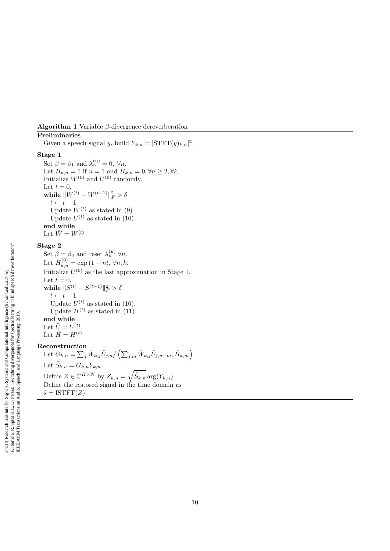### **Algorithm 1** Variable  $\beta$ -divergence dereverberation

Preliminaries Given a speech signal y, build  $Y_{k,n} = |\text{STFT}(y)_{k,n}|^2$ .

### Stage 1

Set  $\beta = \beta_1$  and  $\lambda_n^{(u)} = 0$ ,  $\forall n$ . Let  $H_{k,n} = 1$  if  $n = 1$  and  $H_{k,n} = 0, \forall n \geq 2, \forall k$ . Initialize  $W^{(0)}$  and  $U^{(0)}$  randomly. Let  $t = 0$ , while  $\|W^{(t)} - W^{(t-1)}\|_F^2 > \delta$  $t \leftarrow t + 1$ Update  $W^{(t)}$  as stated in (9). Update  $U^{(t)}$  as stated in (10). end while Let  $\hat{W} = W^{(t)}$ 

### Stage 2

Set  $\beta = \beta_2$  and reset  $\lambda_n^{(u)}$   $\forall n$ . Let  $H_{k,n}^{(0)} = \exp{(1-n)}, \forall n, k.$ Initialize  $U^{(0)}$  as the last approximation in Stage 1. Let  $t = 0$ , while  $\|S^{(t)}-S^{(t-1)}\|_F^2 > \delta$  $t \leftarrow t + 1$ Update  $U^{(t)}$  as stated in (10). Update  $H^{(t)}$  as stated in (11). end while Let  $\hat{U} = U^{(t)}$ Let  $\hat{H} = H^{(t)}$ 

#### Reconstruction

Let  $G_{k,n} \doteq \sum_j \hat{W}_{k,j} \hat{U}_{j,n}/\left(\sum_{j,m} \hat{W}_{k,j} \hat{U}_{j,n-m}, \hat{H}_{k,m}\right).$ Let  $\hat{S}_{k,n} = G_{k,n} Y_{k,n}$ . Define  $Z \in \mathbb{C}^{K \times N}$  by  $Z_{k,n} = \sqrt{\hat{S}_{k,n}} \arg(Y_{k,n}).$ Define the restored signal in the time domain as  $\hat{s}$  = ISTFT(Z).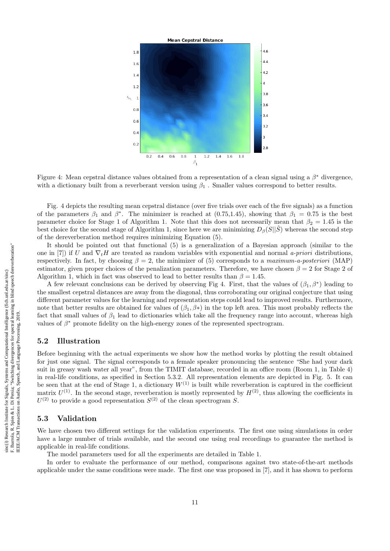

Figure 4: Mean cepstral distance values obtained from a representation of a clean signal using a  $\beta^*$  divergence, with a dictionary built from a reverberant version using  $\beta_1$ . Smaller values correspond to better results.

Fig. 4 depicts the resulting mean cepstral distance (over five trials over each of the five signals) as a function of the parameters  $\beta_1$  and  $\beta^*$ . The minimizer is reached at (0.75,1.45), showing that  $\beta_1 = 0.75$  is the best parameter choice for Stage 1 of Algorithm 1. Note that this does not necessarily mean that  $\beta_2 = 1.45$  is the best choice for the second stage of Algorithm 1, since here we are minimizing  $D_{\beta}(S||\hat{S})$  whereas the second step of the dereverberation method requires minimizing Equation (5).

It should be pointed out that functional (5) is a generalization of a Bayesian approach (similar to the one in [7]) if U and  $\nabla_t H$  are treated as random variables with exponential and normal a-priori distributions, respectively. In fact, by choosing  $\beta = 2$ , the minimizer of (5) corresponds to a maximum-a-posteriori (MAP) estimator, given proper choices of the penalization parameters. Therefore, we have chosen  $\beta = 2$  for Stage 2 of Algorithm 1, which in fact was observed to lead to better results than  $\beta = 1.45$ .

A few relevant conclusions can be derived by observing Fig 4. First, that the values of  $(\beta_1, \beta^*)$  leading to the smallest cepstral distances are away from the diagonal, thus corroborating our original conjecture that using different parameter values for the learning and representation steps could lead to improved results. Furthermore, note that better results are obtained for values of  $(\beta_1, \beta_2)$  in the top left area. This most probably reflects the fact that small values of  $\beta_1$  lead to dictionaries which take all the frequency range into account, whereas high values of  $\beta^*$  promote fidelity on the high-energy zones of the represented spectrogram.

### 5.2 Illustration

Before beginning with the actual experiments we show how the method works by plotting the result obtained for just one signal. The signal corresponds to a female speaker pronouncing the sentence "She had your dark suit in greasy wash water all year", from the TIMIT database, recorded in an office room (Room 1, in Table 4) in real-life conditions, as specified in Section 5.3.2. All representation elements are depicted in Fig. 5. It can be seen that at the end of Stage 1, a dictionary  $W^{(1)}$  is built while reverberation is captured in the coefficient matrix  $U^{(1)}$ . In the second stage, reverberation is mostly represented by  $H^{(2)}$ , thus allowing the coefficients in  $U^{(2)}$  to provide a good representation  $S^{(2)}$  of the clean spectrogram S.

### 5.3 Validation

We have chosen two different settings for the validation experiments. The first one using simulations in order have a large number of trials available, and the second one using real recordings to guarantee the method is applicable in real-life conditions.

The model parameters used for all the experiments are detailed in Table 1.

In order to evaluate the performance of our method, comparisons against two state-of-the-art methods applicable under the same conditions were made. The first one was proposed in [7], and it has shown to perform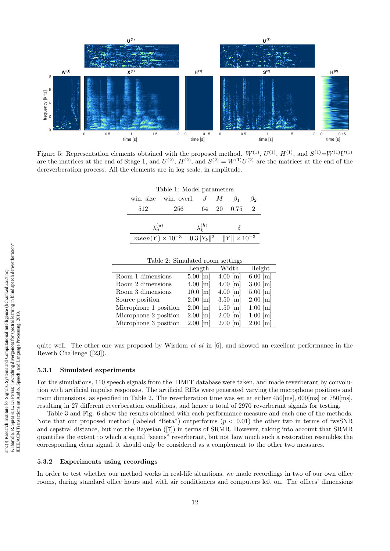

Figure 5: Representation elements obtained with the proposed method.  $W^{(1)}$ ,  $U^{(1)}$ ,  $H^{(1)}$ , and  $S^{(1)}=W^{(1)}U^{(1)}$ are the matrices at the end of Stage 1, and  $U^{(2)}$ ,  $H^{(2)}$ , and  $S^{(2)} = W^{(1)}U^{(2)}$  are the matrices at the end of the dereverberation process. All the elements are in log scale, in amplitude.

#### Table 1: Model parameters

|                   | win size win overl. $J \mathcal{M} \beta_1$                    |                   |              | ്റ |
|-------------------|----------------------------------------------------------------|-------------------|--------------|----|
| 512               | 256                                                            |                   | 64 20 0.75 2 |    |
|                   |                                                                |                   |              |    |
| $\lambda_n^{(u)}$ |                                                                | $\lambda_i^{(h)}$ |              |    |
|                   | $mean(Y) \times 10^{-3}$ $0.3  Y_k  ^2$ $  Y   \times 10^{-3}$ |                   |              |    |

| Table 2: Simulated room settings |                       |                       |                       |  |
|----------------------------------|-----------------------|-----------------------|-----------------------|--|
|                                  | Length                | Width                 | Height                |  |
| Room 1 dimensions                | $5.00 \,[{\rm m}]$    | $4.00 \,[\mathrm{m}]$ | $6.00 \,[{\rm m}]$    |  |
| Room 2 dimensions                | $4.00 \,[\mathrm{m}]$ | $4.00 \,[\mathrm{m}]$ | $3.00 \,[{\rm m}]$    |  |
| Room 3 dimensions                | $10.0 \,[\mathrm{m}]$ | $4.00$ [m]            | $5.00 \,[{\rm m}]$    |  |
| Source position                  | $2.00$ [m]            | $3.50 \,[{\rm m}]$    | $2.00$ [m]            |  |
| Microphone 1 position            | $2.00$ [m]            | $1.50 \,[{\rm m}]$    | $1.00$ [m]            |  |
| Microphone 2 position            | $2.00$ [m]            | $2.00$ [m]            | $1.00 \,[\mathrm{m}]$ |  |
| Microphone 3 position            | $2.00$ [m]            | $2.00 \,[{\rm m}]$    | $2.00$ [m]            |  |

Table 2: Simulated room settings

quite well. The other one was proposed by Wisdom *et al* in  $[6]$ , and showed an excellent performance in the Reverb Challenge ([23]).

#### 5.3.1 Simulated experiments

For the simulations, 110 speech signals from the TIMIT database were taken, and made reverberant by convolution with artificial impulse responses. The artificial RIRs were generated varying the microphone positions and room dimensions, as specified in Table 2. The reverberation time was set at either 450[ms], 600[ms] or 750[ms]. resulting in 27 different reverberation conditions, and hence a total of 2970 reverberant signals for testing.

Table 3 and Fig. 6 show the results obtained with each performance measure and each one of the methods. Note that our proposed method (labeled "Beta") outperforms  $(p < 0.01)$  the other two in terms of fwsSNR and cepstral distance, but not the Bayesian ([7]) in terms of SRMR. However, taking into account that SRMR quantifies the extent to which a signal "seems" reverberant, but not how much such a restoration resembles the corresponding clean signal, it should only be considered as a complement to the other two measures.

### 5.3.2 Experiments using recordings

In order to test whether our method works in real-life situations, we made recordings in two of our own office rooms, during standard office hours and with air conditioners and computers left on. The offices' dimensions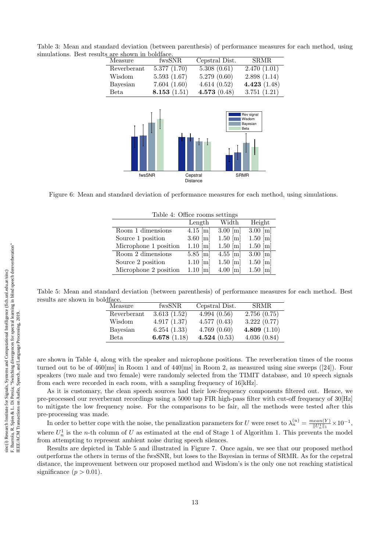Table 3: Mean and standard deviation (between parenthesis) of performance measures for each method, using simulations. Best results are shown in boldface.

| are snown in boluiace. |                |                             |                                                         |
|------------------------|----------------|-----------------------------|---------------------------------------------------------|
| Measure                | fwsSNR         | Cepstral Dist.              | <b>SRMR</b>                                             |
| Reverberant            | 5.377(1.70)    | 5.308(0.61)                 | 2.470(1.01)                                             |
| Wisdom                 | 5.593(1.67)    | 5.279(0.60)                 | 2.898(1.14)                                             |
| Bayesian               | 7.604(1.60)    | 4.614(0.52)                 | 4.423 $(1.48)$                                          |
| Beta.                  | 8.153 $(1.51)$ | 4.573(0.48)                 | 3.751(1.21)                                             |
| fwsSNR                 |                | Cepstral<br><b>Distance</b> | Rev signal<br>Wisdom<br>Bayesian<br>Beta<br><b>SRMR</b> |

Figure 6: Mean and standard deviation of performance measures for each method, using simulations.

| Lable 4. Unice Tooms settings |                       |                       |                       |  |
|-------------------------------|-----------------------|-----------------------|-----------------------|--|
|                               | Length                | Width                 | Height                |  |
| Room 1 dimensions             | $4.15 \,[m]$          | $3.00 \,[\mathrm{m}]$ | $3.00 \,[{\rm m}]$    |  |
| Source 1 position             | $3.60 \,[{\rm m}]$    | $1.50 \,[\mathrm{m}]$ | $1.50 \,[{\rm m}]$    |  |
| Microphone 1 position         | $1.10 \,[\mathrm{m}]$ | $1.50 \,[{\rm m}]$    | $1.50 \,[{\rm m}]$    |  |
| Room 2 dimensions             | $5.85 \,[{\rm m}]$    | $4.55 \,[{\rm m}]$    | $3.00 \,[\mathrm{m}]$ |  |
| Source 2 position             | $1.10 \,[\mathrm{m}]$ | $1.50 \,[{\rm m}]$    | $1.50 \,[{\rm m}]$    |  |
| Microphone 2 position         | $1.10 \,[\mathrm{m}]$ | $4.00 \text{ [m]}$    | $1.50 \,[\mathrm{m}]$ |  |

Table 4: Office rooms settings

Table 5: Mean and standard deviation (between parenthesis) of performance measures for each method. Best results are shown in boldface.

| Measure     | fwsSNR         | Cepstral Dist. | <b>SRMR</b>    |
|-------------|----------------|----------------|----------------|
| Reverberant | 3.613(1.52)    | 4.994(0.56)    | 2.756(0.75)    |
| Wisdom      | 4.917(1.37)    | 4.577(0.43)    | 3.222(0.77)    |
| Bayesian    | 6.254(1.33)    | 4.769(0.60)    | 4.809 $(1.10)$ |
| Beta.       | 6.678 $(1.18)$ | 4.524 $(0.53)$ | 4.036(0.84)    |

are shown in Table 4, along with the speaker and microphone positions. The reverberation times of the rooms turned out to be of 460[ms] in Room 1 and of 440[ms] in Room 2, as measured using sine sweeps ([24]). Four speakers (two male and two female) were randomly selected from the TIMIT database, and 10 speech signals from each were recorded in each room, with a sampling frequency of 16[kHz].

As it is customary, the clean speech sources had their low-frequency components filtered out. Hence, we pre-processed our reverberant recordings using a 5000 tap FIR high-pass filter with cut-off frequency of 30[Hz] to mitigate the low frequency noise. For the comparisons to be fair, all the methods were tested after this pre-processing was made.

In order to better cope with the noise, the penalization parameters for U were reset to  $\lambda_n^{(u)} = \frac{mean(Y)}{\|U_n^1\|_1} \times 10^{-1}$ , where  $U_n^1$  is the *n*-th column of U as estimated at the end of Stage 1 of Algorithm 1. This prevents the model from attempting to represent ambient noise during speech silences.

Results are depicted in Table 5 and illustrated in Figure 7. Once again, we see that our proposed method outperforms the others in terms of the fwsSNR, but loses to the Bayesian in terms of SRMR. As for the cepstral distance, the improvement between our proposed method and Wisdom's is the only one not reaching statistical significance  $(p > 0.01)$ .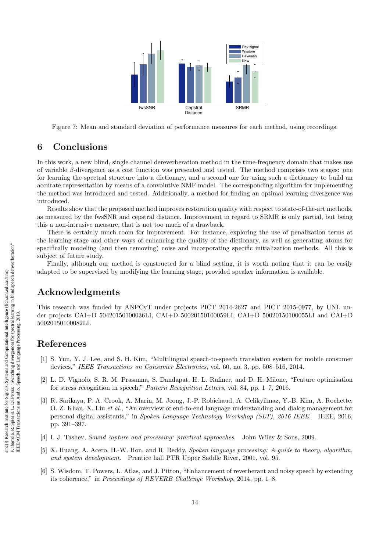

Figure 7: Mean and standard deviation of performance measures for each method, using recordings.

## 6 Conclusions

In this work, a new blind, single channel dereverberation method in the time-frequency domain that makes use of variable β-divergence as a cost function was presented and tested. The method comprises two stages: one for learning the spectral structure into a dictionary, and a second one for using such a dictionary to build an accurate representation by means of a convolutive NMF model. The corresponding algorithm for implementing the method was introduced and tested. Additionally, a method for finding an optimal learning divergence was introduced.

Results show that the proposed method improves restoration quality with respect to state-of-the-art methods, as measured by the fwsSNR and cepstral distance. Improvement in regard to SRMR is only partial, but being this a non-intrusive measure, that is not too much of a drawback.

There is certainly much room for improvement. For instance, exploring the use of penalization terms at the learning stage and other ways of enhancing the quality of the dictionary, as well as generating atoms for specifically modeling (and then removing) noise and incorporating specific initialization methods. All this is subject of future study.

Finally, although our method is constructed for a blind setting, it is worth noting that it can be easily adapted to be supervised by modifying the learning stage, provided speaker information is available.

## Acknowledgments

This research was funded by ANPCyT under projects PICT 2014-2627 and PICT 2015-0977, by UNL under projects CAI+D 50420150100036LI, CAI+D 50020150100059LI, CAI+D 50020150100055LI and CAI+D 50020150100082LI.

## References

- [1] S. Yun, Y. J. Lee, and S. H. Kim, "Multilingual speech-to-speech translation system for mobile consumer devices," IEEE Transactions on Consumer Electronics, vol. 60, no. 3, pp. 508–516, 2014.
- [2] L. D. Vignolo, S. R. M. Prasanna, S. Dandapat, H. L. Rufiner, and D. H. Milone, "Feature optimisation for stress recognition in speech," Pattern Recognition Letters, vol. 84, pp. 1–7, 2016.
- [3] R. Sarikaya, P. A. Crook, A. Marin, M. Jeong, J.-P. Robichaud, A. Celikyilmaz, Y.-B. Kim, A. Rochette, O. Z. Khan, X. Liu et al., "An overview of end-to-end language understanding and dialog management for personal digital assistants," in Spoken Language Technology Workshop (SLT), 2016 IEEE. IEEE, 2016, pp. 391–397.
- [4] I. J. Tashev, Sound capture and processing: practical approaches. John Wiley & Sons, 2009.
- [5] X. Huang, A. Acero, H.-W. Hon, and R. Reddy, Spoken language processing: A guide to theory, algorithm, and system development. Prentice hall PTR Upper Saddle River, 2001, vol. 95.
- [6] S. Wisdom, T. Powers, L. Atlas, and J. Pitton, "Enhancement of reverberant and noisy speech by extending its coherence," in Proceedings of REVERB Challenge Workshop, 2014, pp. 1–8.